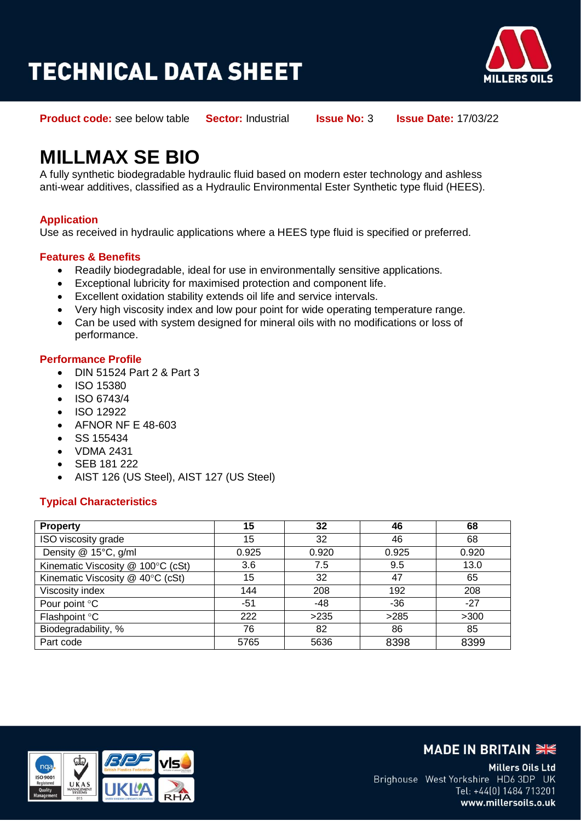# **TECHNICAL DATA SHEET**



**Product code:** see below table **Sector:** Industrial **Issue No:** 3 **Issue Date:** 17/03/22

## **MILLMAX SE BIO**

A fully synthetic biodegradable hydraulic fluid based on modern ester technology and ashless anti-wear additives, classified as a Hydraulic Environmental Ester Synthetic type fluid (HEES).

#### **Application**

Use as received in hydraulic applications where a HEES type fluid is specified or preferred.

#### **Features & Benefits**

- Readily biodegradable, ideal for use in environmentally sensitive applications.
- Exceptional lubricity for maximised protection and component life.
- Excellent oxidation stability extends oil life and service intervals.
- Very high viscosity index and low pour point for wide operating temperature range.
- Can be used with system designed for mineral oils with no modifications or loss of performance.

#### **Performance Profile**

- DIN 51524 Part 2 & Part 3
- ISO 15380
- ISO 6743/4
- ISO 12922
- AFNOR NF E 48-603
- $\bullet$  SS 155434
- VDMA 2431
- SEB 181 222
- AIST 126 (US Steel), AIST 127 (US Steel)

#### **Typical Characteristics**

| <b>Property</b>                   | 15    | 32    | 46    | 68    |
|-----------------------------------|-------|-------|-------|-------|
| ISO viscosity grade               | 15    | 32    | 46    | 68    |
| Density @ 15°C, g/ml              | 0.925 | 0.920 | 0.925 | 0.920 |
| Kinematic Viscosity @ 100°C (cSt) | 3.6   | 7.5   | 9.5   | 13.0  |
| Kinematic Viscosity @ 40°C (cSt)  | 15    | 32    | 47    | 65    |
| Viscosity index                   | 144   | 208   | 192   | 208   |
| Pour point °C                     | -51   | -48   | $-36$ | $-27$ |
| Flashpoint °C                     | 222   | >235  | >285  | >300  |
| Biodegradability, %               | 76    | 82    | 86    | 85    |
| Part code                         | 5765  | 5636  | 8398  | 8399  |



### **MADE IN BRITAIN SIGNAL**

Millers Oils Ltd Brighouse West Yorkshire HD6 3DP UK Tel: +44(0) 1484 713201 www.millersoils.o.uk